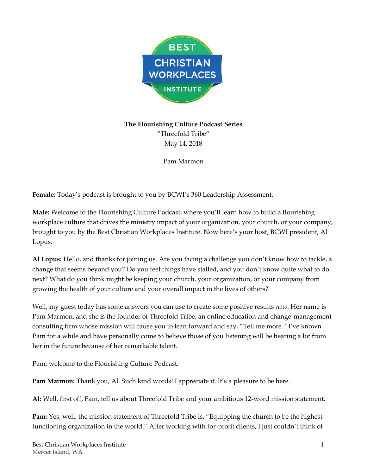

**The Flourishing Culture Podcast Series** "Threefold Tribe" May 14, 2018

Pam Marmon

**Female:** Today's podcast is brought to you by BCWI's 360 Leadership Assessment.

**Male:** Welcome to the Flourishing Culture Podcast, where you'll learn how to build a flourishing workplace culture that drives the ministry impact of your organization, your church, or your company, brought to you by the Best Christian Workplaces Institute. Now here's your host, BCWI president, Al Lopus.

**Al Lopus:** Hello, and thanks for joining us. Are you facing a challenge you don't know how to tackle, a change that seems beyond you? Do you feel things have stalled, and you don't know quite what to do next? What do you think might be keeping your church, your organization, or your company from growing the health of your culture and your overall impact in the lives of others?

Well, my guest today has some answers you can use to create some positive results *now*. Her name is Pam Marmon, and she is the founder of Threefold Tribe, an online education and change-management consulting firm whose mission will cause you to lean forward and say, "Tell me more." I've known Pam for a while and have personally come to believe those of you listening will be hearing a lot from her in the future because of her remarkable talent.

Pam, welcome to the Flourishing Culture Podcast.

**Pam Marmon:** Thank you, Al. Such kind words! I appreciate it. It's a pleasure to be here.

**Al:** Well, first off, Pam, tell us about Threefold Tribe and your ambitious 12-word mission statement.

**Pam:** Yes, well, the mission statement of Threefold Tribe is, "Equipping the church to be the highestfunctioning organization in the world." After working with for-profit clients, I just couldn't think of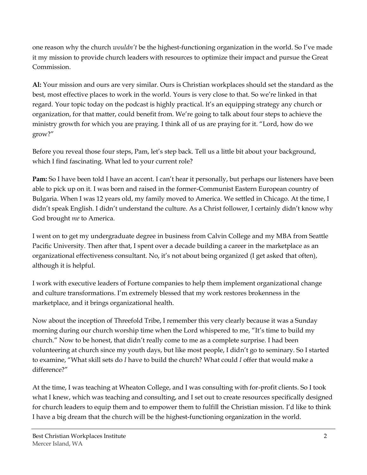one reason why the church *wouldn't* be the highest-functioning organization in the world. So I've made it my mission to provide church leaders with resources to optimize their impact and pursue the Great Commission.

**Al:** Your mission and ours are very similar. Ours is Christian workplaces should set the standard as the best, most effective places to work in the world. Yours is very close to that. So we're linked in that regard. Your topic today on the podcast is highly practical. It's an equipping strategy any church or organization, for that matter, could benefit from. We're going to talk about four steps to achieve the ministry growth for which you are praying. I think all of us are praying for it. "Lord, how do we grow?"

Before you reveal those four steps, Pam, let's step back. Tell us a little bit about your background, which I find fascinating. What led to your current role?

**Pam:** So I have been told I have an accent. I can't hear it personally, but perhaps our listeners have been able to pick up on it. I was born and raised in the former-Communist Eastern European country of Bulgaria. When I was 12 years old, my family moved to America. We settled in Chicago. At the time, I didn't speak English. I didn't understand the culture. As a Christ follower, I certainly didn't know why God brought *me* to America.

I went on to get my undergraduate degree in business from Calvin College and my MBA from Seattle Pacific University. Then after that, I spent over a decade building a career in the marketplace as an organizational effectiveness consultant. No, it's not about being organized (I get asked that often), although it is helpful.

I work with executive leaders of Fortune companies to help them implement organizational change and culture transformations. I'm extremely blessed that my work restores brokenness in the marketplace, and it brings organizational health.

Now about the inception of Threefold Tribe, I remember this very clearly because it was a Sunday morning during our church worship time when the Lord whispered to me, "It's time to build my church." Now to be honest, that didn't really come to me as a complete surprise. I had been volunteering at church since my youth days, but like most people, I didn't go to seminary. So I started to examine, "What skill sets do *I* have to build the church? What could *I* offer that would make a difference?"

At the time, I was teaching at Wheaton College, and I was consulting with for-profit clients. So I took what I knew, which was teaching and consulting, and I set out to create resources specifically designed for church leaders to equip them and to empower them to fulfill the Christian mission. I'd like to think I have a big dream that the church will be the highest-functioning organization in the world.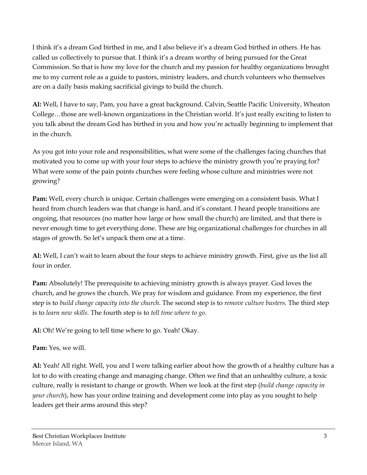I think it's a dream God birthed in me, and I also believe it's a dream God birthed in others. He has called us collectively to pursue that. I think it's a dream worthy of being pursued for the Great Commission. So that is how my love for the church and my passion for healthy organizations brought me to my current role as a guide to pastors, ministry leaders, and church volunteers who themselves are on a daily basis making sacrificial givings to build the church.

**Al:** Well, I have to say, Pam, you have a great background. Calvin, Seattle Pacific University, Wheaton College…those are well-known organizations in the Christian world. It's just really exciting to listen to you talk about the dream God has birthed in you and how you're actually beginning to implement that in the church.

As you got into your role and responsibilities, what were some of the challenges facing churches that motivated you to come up with your four steps to achieve the ministry growth you're praying for? What were some of the pain points churches were feeling whose culture and ministries were not growing?

**Pam:** Well, every church is unique. Certain challenges were emerging on a consistent basis. What I heard from church leaders was that change is hard, and it's constant. I heard people transitions are ongoing, that resources (no matter how large or how small the church) are limited, and that there is never enough time to get everything done. These are big organizational challenges for churches in all stages of growth. So let's unpack them one at a time.

**Al:** Well, I can't wait to learn about the four steps to achieve ministry growth. First, give us the list all four in order.

**Pam:** Absolutely! The prerequisite to achieving ministry growth is always prayer. God loves the church, and he grows the church. We pray for wisdom and guidance. From my experience, the first step is to *build change capacity into the church*. The second step is to *remove culture busters*. The third step is to *learn new skills*. The fourth step is to *tell time where to go*.

**Al:** Oh! We're going to tell time where to go. Yeah! Okay.

## **Pam:** Yes, we will.

**Al:** Yeah! All right. Well, you and I were talking earlier about how the growth of a healthy culture has a lot to do with creating change and managing change. Often we find that an unhealthy culture, a toxic culture, really is resistant to change or growth. When we look at the first step (*build change capacity in your church*), how has your online training and development come into play as you sought to help leaders get their arms around this step?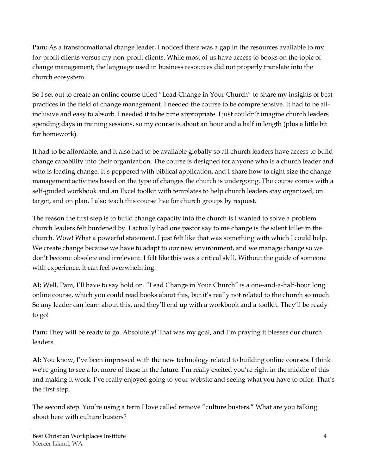**Pam:** As a transformational change leader, I noticed there was a gap in the resources available to my for-profit clients versus my non-profit clients. While most of us have access to books on the topic of change management, the language used in business resources did not properly translate into the church ecosystem.

So I set out to create an online course titled "Lead Change in Your Church" to share my insights of best practices in the field of change management. I needed the course to be comprehensive. It had to be allinclusive and easy to absorb. I needed it to be time appropriate. I just couldn't imagine church leaders spending days in training sessions, so my course is about an hour and a half in length (plus a little bit for homework).

It had to be affordable, and it also had to be available globally so all church leaders have access to build change capability into their organization. The course is designed for anyone who is a church leader and who is leading change. It's peppered with biblical application, and I share how to right size the change management activities based on the type of changes the church is undergoing. The course comes with a self-guided workbook and an Excel toolkit with templates to help church leaders stay organized, on target, and on plan. I also teach this course live for church groups by request.

The reason the first step is to build change capacity into the church is I wanted to solve a problem church leaders felt burdened by. I actually had one pastor say to me change is the silent killer in the church. Wow! What a powerful statement. I just felt like that was something with which I could help. We create change because we have to adapt to our new environment, and we manage change so we don't become obsolete and irrelevant. I felt like this was a critical skill. Without the guide of someone with experience, it can feel overwhelming.

**Al:** Well, Pam, I'll have to say hold on. "Lead Change in Your Church" is a one-and-a-half-hour long online course, which you could read books about this, but it's really not related to the church so much. So any leader can learn about this, and they'll end up with a workbook and a toolkit. They'll be ready to go!

**Pam:** They will be ready to go. Absolutely! That was my goal, and I'm praying it blesses our church leaders.

**Al:** You know, I've been impressed with the new technology related to building online courses. I think we're going to see a lot more of these in the future. I'm really excited you're right in the middle of this and making it work. I've really enjoyed going to your website and seeing what you have to offer. That's the first step.

The second step. You're using a term I love called remove "culture busters." What are you talking about here with culture busters?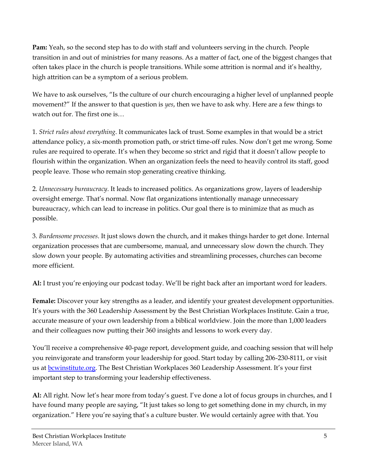**Pam:** Yeah, so the second step has to do with staff and volunteers serving in the church. People transition in and out of ministries for many reasons. As a matter of fact, one of the biggest changes that often takes place in the church is people transitions. While some attrition is normal and it's healthy, high attrition can be a symptom of a serious problem.

We have to ask ourselves, "Is the culture of our church encouraging a higher level of unplanned people movement?" If the answer to that question is *yes*, then we have to ask why. Here are a few things to watch out for. The first one is…

1. *Strict rules about everything*. It communicates lack of trust. Some examples in that would be a strict attendance policy, a six-month promotion path, or strict time-off rules. Now don't get me wrong. Some rules are required to operate. It's when they become so strict and rigid that it doesn't allow people to flourish within the organization. When an organization feels the need to heavily control its staff, good people leave. Those who remain stop generating creative thinking.

2. *Unnecessary bureaucracy*. It leads to increased politics. As organizations grow, layers of leadership oversight emerge. That's normal. Now flat organizations intentionally manage unnecessary bureaucracy, which can lead to increase in politics. Our goal there is to minimize that as much as possible.

3. *Burdensome processes*. It just slows down the church, and it makes things harder to get done. Internal organization processes that are cumbersome, manual, and unnecessary slow down the church. They slow down your people. By automating activities and streamlining processes, churches can become more efficient.

**Al:** I trust you're enjoying our podcast today. We'll be right back after an important word for leaders.

**Female:** Discover your key strengths as a leader, and identify your greatest development opportunities. It's yours with the 360 Leadership Assessment by the Best Christian Workplaces Institute. Gain a true, accurate measure of your own leadership from a biblical worldview. Join the more than 1,000 leaders and their colleagues now putting their 360 insights and lessons to work every day.

You'll receive a comprehensive 40-page report, development guide, and coaching session that will help you reinvigorate and transform your leadership for good. Start today by calling 206-230-8111, or visit us at **bcwinstitute.org**. The Best Christian Workplaces 360 Leadership Assessment. It's your first important step to transforming your leadership effectiveness.

**Al:** All right. Now let's hear more from today's guest. I've done a lot of focus groups in churches, and I have found many people are saying, "It just takes so long to get something done in my church, in my organization." Here you're saying that's a culture buster. We would certainly agree with that. You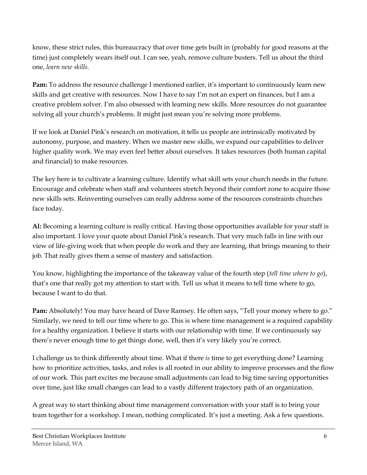know, these strict rules, this bureaucracy that over time gets built in (probably for good reasons at the time) just completely wears itself out. I can see, yeah, remove culture busters. Tell us about the third one, *learn new skills.*

**Pam:** To address the resource challenge I mentioned earlier, it's important to continuously learn new skills and get creative with resources. Now I have to say I'm not an expert on finances, but I am a creative problem solver. I'm also obsessed with learning new skills. More resources do not guarantee solving all your church's problems. It might just mean you're solving more problems.

If we look at Daniel Pink's research on motivation, it tells us people are intrinsically motivated by autonomy, purpose, and mastery. When we master new skills, we expand our capabilities to deliver higher quality work. We may even feel better about ourselves. It takes resources (both human capital and financial) to make resources.

The key here is to cultivate a learning culture. Identify what skill sets your church needs in the future. Encourage and celebrate when staff and volunteers stretch beyond their comfort zone to acquire those new skills sets. Reinventing ourselves can really address some of the resources constraints churches face today.

**Al:** Becoming a learning culture is really critical. Having those opportunities available for your staff is also important. I love your quote about Daniel Pink's research. That very much falls in line with our view of life-giving work that when people do work and they are learning, that brings meaning to their job. That really gives them a sense of mastery and satisfaction.

You know, highlighting the importance of the takeaway value of the fourth step (*tell time where to go*), that's one that really got my attention to start with. Tell us what it means to tell time where to go, because I want to do that.

**Pam:** Absolutely! You may have heard of Dave Ramsey. He often says, "Tell your money where to go." Similarly, we need to tell our time where to go. This is where time management is a required capability for a healthy organization. I believe it starts with our relationship with time. If we continuously say there's never enough time to get things done, well, then it's very likely you're correct.

I challenge us to think differently about time. What if there *is* time to get everything done? Learning how to prioritize activities, tasks, and roles is all rooted in our ability to improve processes and the flow of our work. This part excites me because small adjustments can lead to big time saving opportunities over time, just like small changes can lead to a vastly different trajectory path of an organization.

A great way to start thinking about time management conversation with your staff is to bring your team together for a workshop. I mean, nothing complicated. It's just a meeting. Ask a few questions.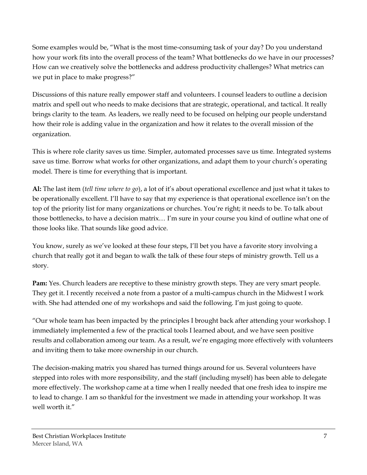Some examples would be, "What is the most time-consuming task of your day? Do you understand how your work fits into the overall process of the team? What bottlenecks do we have in our processes? How can we creatively solve the bottlenecks and address productivity challenges? What metrics can we put in place to make progress?"

Discussions of this nature really empower staff and volunteers. I counsel leaders to outline a decision matrix and spell out who needs to make decisions that are strategic, operational, and tactical. It really brings clarity to the team. As leaders, we really need to be focused on helping our people understand how their role is adding value in the organization and how it relates to the overall mission of the organization.

This is where role clarity saves us time. Simpler, automated processes save us time. Integrated systems save us time. Borrow what works for other organizations, and adapt them to your church's operating model. There is time for everything that is important.

**Al:** The last item (*tell time where to go*), a lot of it's about operational excellence and just what it takes to be operationally excellent. I'll have to say that my experience is that operational excellence isn't on the top of the priority list for many organizations or churches. You're right; it needs to be. To talk about those bottlenecks, to have a decision matrix… I'm sure in your course you kind of outline what one of those looks like. That sounds like good advice.

You know, surely as we've looked at these four steps, I'll bet you have a favorite story involving a church that really got it and began to walk the talk of these four steps of ministry growth. Tell us a story.

**Pam:** Yes. Church leaders are receptive to these ministry growth steps. They are very smart people. They get it. I recently received a note from a pastor of a multi-campus church in the Midwest I work with. She had attended one of my workshops and said the following. I'm just going to quote.

"Our whole team has been impacted by the principles I brought back after attending your workshop. I immediately implemented a few of the practical tools I learned about, and we have seen positive results and collaboration among our team. As a result, we're engaging more effectively with volunteers and inviting them to take more ownership in our church.

The decision-making matrix you shared has turned things around for us. Several volunteers have stepped into roles with more responsibility, and the staff (including myself) has been able to delegate more effectively. The workshop came at a time when I really needed that one fresh idea to inspire me to lead to change. I am so thankful for the investment we made in attending your workshop. It was well worth it."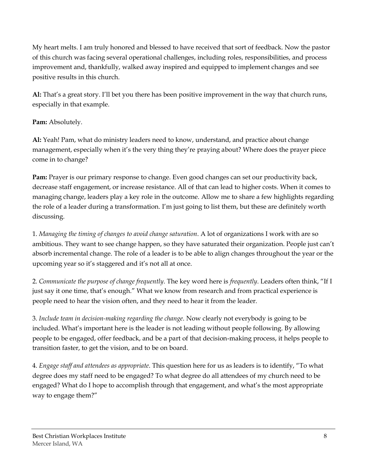My heart melts. I am truly honored and blessed to have received that sort of feedback. Now the pastor of this church was facing several operational challenges, including roles, responsibilities, and process improvement and, thankfully, walked away inspired and equipped to implement changes and see positive results in this church.

**Al:** That's a great story. I'll bet you there has been positive improvement in the way that church runs, especially in that example.

## Pam: Absolutely.

**Al:** Yeah! Pam, what do ministry leaders need to know, understand, and practice about change management, especially when it's the very thing they're praying about? Where does the prayer piece come in to change?

**Pam:** Prayer is our primary response to change. Even good changes can set our productivity back, decrease staff engagement, or increase resistance. All of that can lead to higher costs. When it comes to managing change, leaders play a key role in the outcome. Allow me to share a few highlights regarding the role of a leader during a transformation. I'm just going to list them, but these are definitely worth discussing.

1. *Managing the timing of changes to avoid change saturation*. A lot of organizations I work with are so ambitious. They want to see change happen, so they have saturated their organization. People just can't absorb incremental change. The role of a leader is to be able to align changes throughout the year or the upcoming year so it's staggered and it's not all at once.

2. *Communicate the purpose of change frequently*. The key word here is *frequently*. Leaders often think, "If I just say it one time, that's enough." What we know from research and from practical experience is people need to hear the vision often, and they need to hear it from the leader.

3. *Include team in decision-making regarding the change*. Now clearly not everybody is going to be included. What's important here is the leader is not leading without people following. By allowing people to be engaged, offer feedback, and be a part of that decision-making process, it helps people to transition faster, to get the vision, and to be on board.

4. *Engage staff and attendees as appropriate*. This question here for us as leaders is to identify, "To what degree does my staff need to be engaged? To what degree do all attendees of my church need to be engaged? What do I hope to accomplish through that engagement, and what's the most appropriate way to engage them?"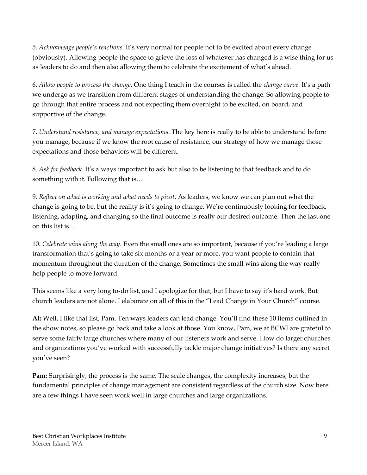5. *Acknowledge people's reactions*. It's very normal for people not to be excited about every change (obviously). Allowing people the space to grieve the loss of whatever has changed is a wise thing for us as leaders to do and then also allowing them to celebrate the excitement of what's ahead.

6. *Allow people to process the change*. One thing I teach in the courses is called the *change curve*. It's a path we undergo as we transition from different stages of understanding the change. So allowing people to go through that entire process and not expecting them overnight to be excited, on board, and supportive of the change.

7. *Understand resistance, and manage expectations*. The key here is really to be able to understand before you manage, because if we know the root cause of resistance, our strategy of how we manage those expectations and those behaviors will be different.

8. *Ask for feedback*. It's always important to ask but also to be listening to that feedback and to do something with it. Following that is…

9. *Reflect on what is working and what needs to pivot*. As leaders, we know we can plan out what the change is going to be, but the reality is it's going to change. We're continuously looking for feedback, listening, adapting, and changing so the final outcome is really our desired outcome. Then the last one on this list is…

10. *Celebrate wins along the way*. Even the small ones are so important, because if you're leading a large transformation that's going to take six months or a year or more, you want people to contain that momentum throughout the duration of the change. Sometimes the small wins along the way really help people to move forward.

This seems like a very long to-do list, and I apologize for that, but I have to say it's hard work. But church leaders are not alone. I elaborate on all of this in the "Lead Change in Your Church" course.

**Al:** Well, I like that list, Pam. Ten ways leaders can lead change. You'll find these 10 items outlined in the show notes, so please go back and take a look at those. You know, Pam, we at BCWI are grateful to serve some fairly large churches where many of our listeners work and serve. How do larger churches and organizations you've worked with successfully tackle major change initiatives? Is there any secret you've seen?

**Pam:** Surprisingly, the process is the same. The scale changes, the complexity increases, but the fundamental principles of change management are consistent regardless of the church size. Now here are a few things I have seen work well in large churches and large organizations.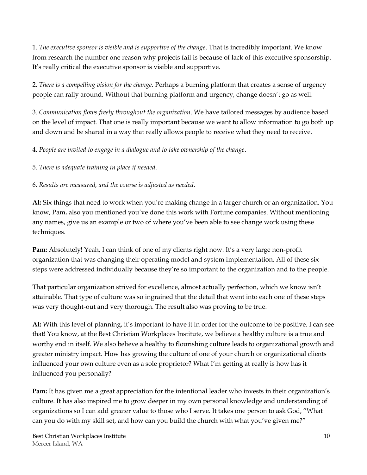1. *The executive sponsor is visible and is supportive of the change*. That is incredibly important. We know from research the number one reason why projects fail is because of lack of this executive sponsorship. It's really critical the executive sponsor is visible and supportive.

2. *There is a compelling vision for the change*. Perhaps a burning platform that creates a sense of urgency people can rally around. Without that burning platform and urgency, change doesn't go as well.

3. *Communication flows freely throughout the organization*. We have tailored messages by audience based on the level of impact. That one is really important because we want to allow information to go both up and down and be shared in a way that really allows people to receive what they need to receive.

4. *People are invited to engage in a dialogue and to take ownership of the change*.

5. *There is adequate training in place if needed*.

6. *Results are measured, and the course is adjusted as needed*.

**Al:** Six things that need to work when you're making change in a larger church or an organization. You know, Pam, also you mentioned you've done this work with Fortune companies. Without mentioning any names, give us an example or two of where you've been able to see change work using these techniques.

**Pam:** Absolutely! Yeah, I can think of one of my clients right now. It's a very large non-profit organization that was changing their operating model and system implementation. All of these six steps were addressed individually because they're so important to the organization and to the people.

That particular organization strived for excellence, almost actually perfection, which we know isn't attainable. That type of culture was so ingrained that the detail that went into each one of these steps was very thought-out and very thorough. The result also was proving to be true.

**Al:** With this level of planning, it's important to have it in order for the outcome to be positive. I can see that! You know, at the Best Christian Workplaces Institute, we believe a healthy culture is a true and worthy end in itself. We also believe a healthy to flourishing culture leads to organizational growth and greater ministry impact. How has growing the culture of one of your church or organizational clients influenced your own culture even as a sole proprietor? What I'm getting at really is how has it influenced you personally?

**Pam:** It has given me a great appreciation for the intentional leader who invests in their organization's culture. It has also inspired me to grow deeper in my own personal knowledge and understanding of organizations so I can add greater value to those who I serve. It takes one person to ask God, "What can you do with my skill set, and how can you build the church with what you've given me?"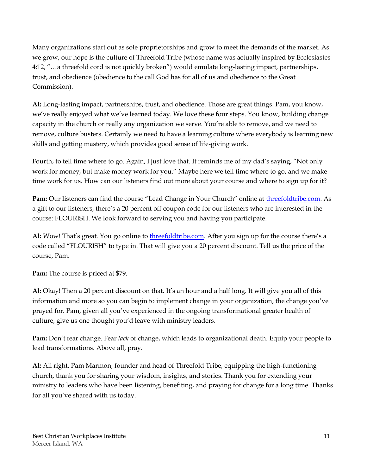Many organizations start out as sole proprietorships and grow to meet the demands of the market. As we grow, our hope is the culture of Threefold Tribe (whose name was actually inspired by Ecclesiastes 4:12, "…a threefold cord is not quickly broken") would emulate long-lasting impact, partnerships, trust, and obedience (obedience to the call God has for all of us and obedience to the Great Commission).

**Al:** Long-lasting impact, partnerships, trust, and obedience. Those are great things. Pam, you know, we've really enjoyed what we've learned today. We love these four steps. You know, building change capacity in the church or really any organization we serve. You're able to remove, and we need to remove, culture busters. Certainly we need to have a learning culture where everybody is learning new skills and getting mastery, which provides good sense of life-giving work.

Fourth, to tell time where to go. Again, I just love that. It reminds me of my dad's saying, "Not only work for money, but make money work for you." Maybe here we tell time where to go, and we make time work for us. How can our listeners find out more about your course and where to sign up for it?

**Pam:** Our listeners can find the course "Lead Change in Your Church" online at [threefoldtribe.com.](http://threefoldtribe.com/) As a gift to our listeners, there's a 20 percent off coupon code for our listeners who are interested in the course: FLOURISH. We look forward to serving you and having you participate.

**Al:** Wow! That's great. You go online to [threefoldtribe.com.](http://www.threefoldtribe.com/) After you sign up for the course there's a code called "FLOURISH" to type in. That will give you a 20 percent discount. Tell us the price of the course, Pam.

**Pam:** The course is priced at \$79.

**Al:** Okay! Then a 20 percent discount on that. It's an hour and a half long. It will give you all of this information and more so you can begin to implement change in your organization, the change you've prayed for. Pam, given all you've experienced in the ongoing transformational greater health of culture, give us one thought you'd leave with ministry leaders.

**Pam:** Don't fear change. Fear *lack* of change, which leads to organizational death. Equip your people to lead transformations. Above all, pray.

**Al:** All right. Pam Marmon, founder and head of Threefold Tribe, equipping the high-functioning church, thank you for sharing your wisdom, insights, and stories. Thank you for extending your ministry to leaders who have been listening, benefiting, and praying for change for a long time. Thanks for all you've shared with us today.